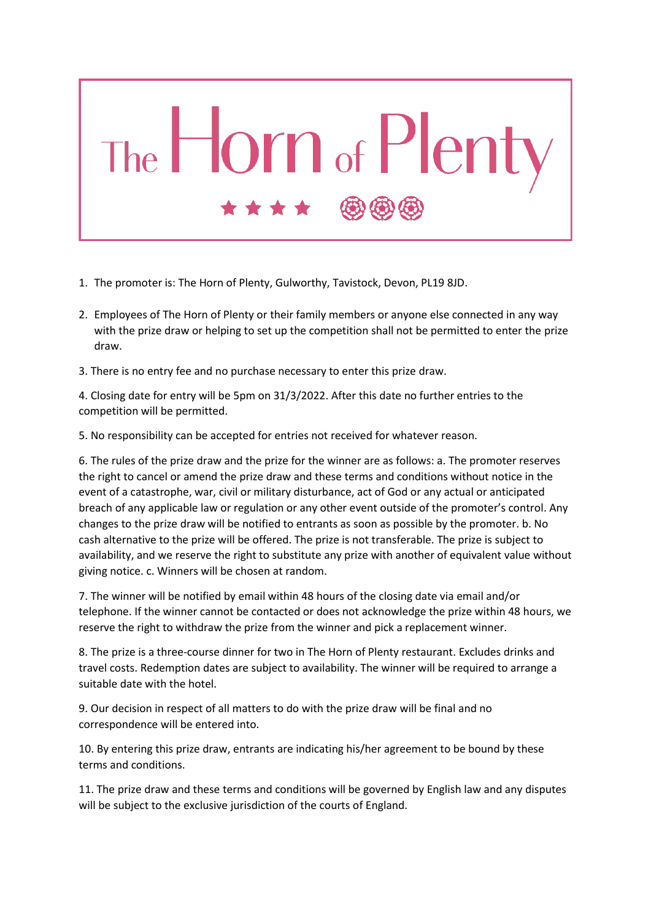

- 1. The promoter is: The Horn of Plenty, Gulworthy, Tavistock, Devon, PL19 8JD.
- 2. Employees of The Horn of Plenty or their family members or anyone else connected in any way with the prize draw or helping to set up the competition shall not be permitted to enter the prize draw.
- 3. There is no entry fee and no purchase necessary to enter this prize draw.

4. Closing date for entry will be 5pm on 31/3/2022. After this date no further entries to the competition will be permitted.

5. No responsibility can be accepted for entries not received for whatever reason.

6. The rules of the prize draw and the prize for the winner are as follows: a. The promoter reserves the right to cancel or amend the prize draw and these terms and conditions without notice in the event of a catastrophe, war, civil or military disturbance, act of God or any actual or anticipated breach of any applicable law or regulation or any other event outside of the promoter's control. Any changes to the prize draw will be notified to entrants as soon as possible by the promoter. b. No cash alternative to the prize will be offered. The prize is not transferable. The prize is subject to availability, and we reserve the right to substitute any prize with another of equivalent value without giving notice. c. Winners will be chosen at random.

7. The winner will be notified by email within 48 hours of the closing date via email and/or telephone. If the winner cannot be contacted or does not acknowledge the prize within 48 hours, we reserve the right to withdraw the prize from the winner and pick a replacement winner.

8. The prize is a three-course dinner for two in The Horn of Plenty restaurant. Excludes drinks and travel costs. Redemption dates are subject to availability. The winner will be required to arrange a suitable date with the hotel.

9. Our decision in respect of all matters to do with the prize draw will be final and no correspondence will be entered into.

10. By entering this prize draw, entrants are indicating his/her agreement to be bound by these terms and conditions.

11. The prize draw and these terms and conditions will be governed by English law and any disputes will be subject to the exclusive jurisdiction of the courts of England.